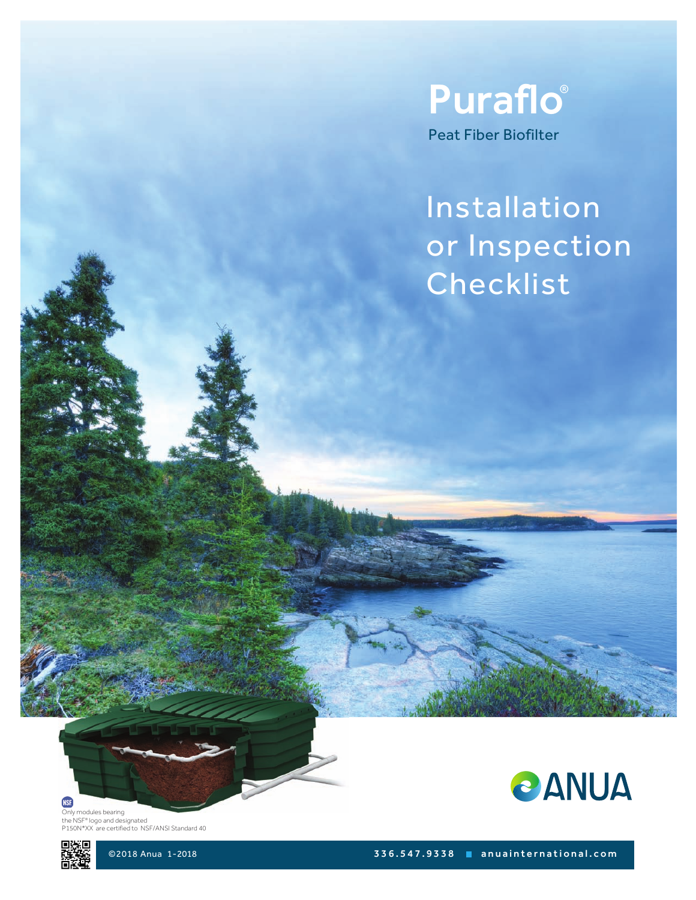

# Installation or Inspection Checklist





©2018 Anua 1-2018 3 3 6 . 5 4 7 . 9 3 3 8 a n u a i n t e r n a t i o n a l . c o m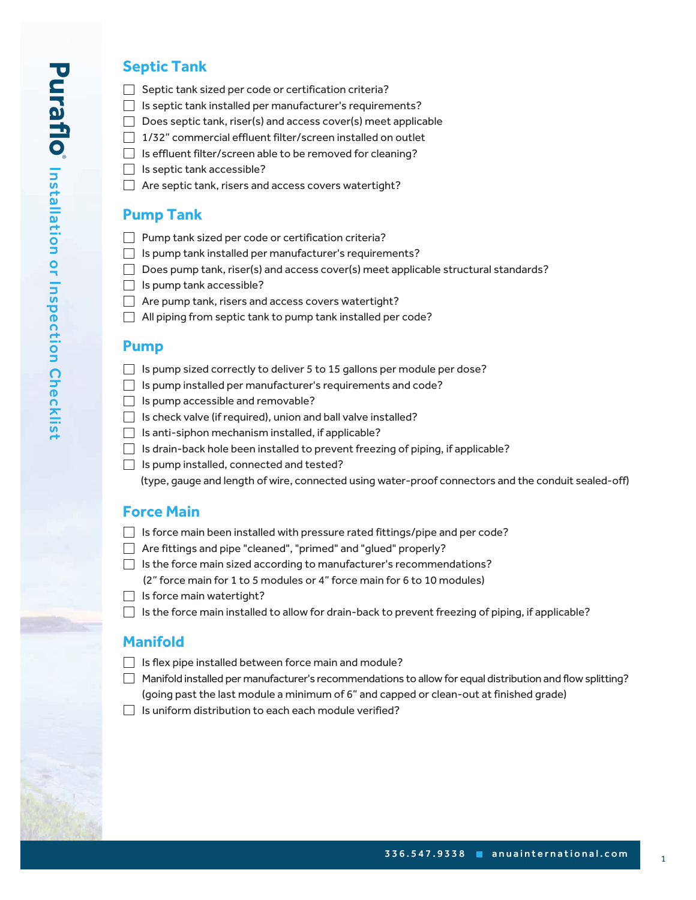#### **Septic Tank**

- $\Box$  Septic tank sized per code or certification criteria?
- $\Box$  Is septic tank installed per manufacturer's requirements?
- $\Box$  Does septic tank, riser(s) and access cover(s) meet applicable
- 1/32" commercial effluent filter/screen installed on outlet
- $\Box$  Is effluent filter/screen able to be removed for cleaning?
- $\Box$  Is septic tank accessible?
- $\Box$  Are septic tank, risers and access covers watertight?

## **Pump Tank**

- Pump tank sized per code or certification criteria?
- $\Box$  Is pump tank installed per manufacturer's requirements?
- $\Box$  Does pump tank, riser(s) and access cover(s) meet applicable structural standards?
- $\Box$  Is pump tank accessible?
- $\Box$  Are pump tank, risers and access covers watertight?
- $\Box$  All piping from septic tank to pump tank installed per code?

#### **Pump**

- $\Box$  Is pump sized correctly to deliver 5 to 15 gallons per module per dose?
- $\Box$  Is pump installed per manufacturer's requirements and code?
- $\Box$  Is pump accessible and removable?
- $\Box$  Is check valve (if required), union and ball valve installed?
- $\Box$  Is anti-siphon mechanism installed, if applicable?
- $\Box$  Is drain-back hole been installed to prevent freezing of piping, if applicable?
- $\Box$  Is pump installed, connected and tested?

(type, gauge and length of wire, connected using water-proof connectors and the conduit sealed-off)

### **Force Main**

- $\Box$  Is force main been installed with pressure rated fittings/pipe and per code?
- Are fittings and pipe "cleaned", "primed" and "glued" properly?
- $\Box$  Is the force main sized according to manufacturer's recommendations?
	- (2" force main for 1 to 5 modules or 4" force main for 6 to 10 modules)
- $\Box$  Is force main watertight?
- $\Box$  Is the force main installed to allow for drain-back to prevent freezing of piping, if applicable?

### **Manifold**

- $\Box$  Is flex pipe installed between force main and module?
- Manifold installed per manufacturer's recommendations to allow for equal distribution and flow splitting? (going past the last module a minimum of 6" and capped or clean-out at finished grade)
- $\Box$  Is uniform distribution to each each module verified?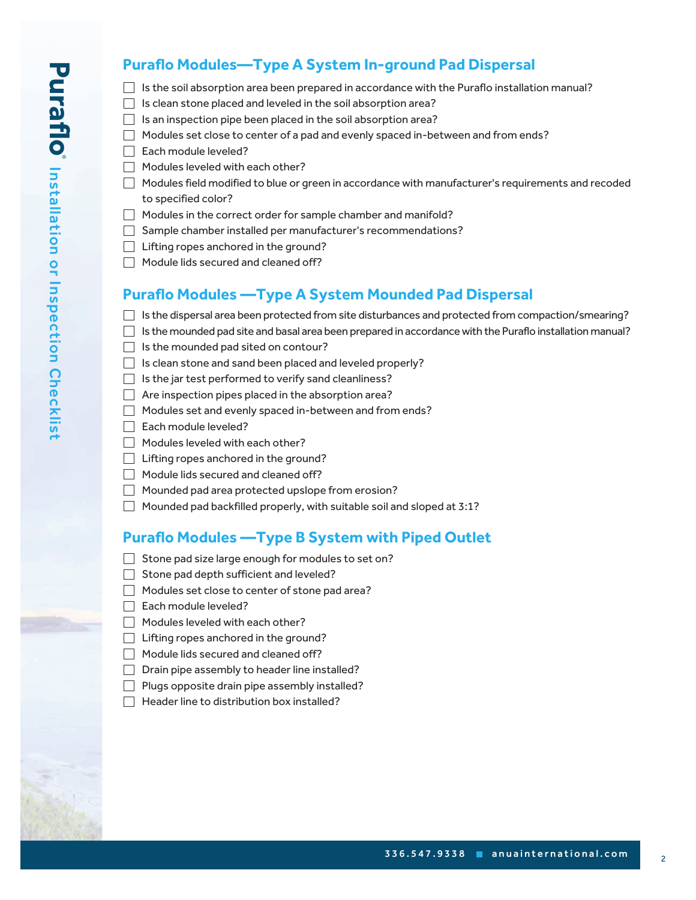# **Puraflo Modules—Type A System In-ground Pad Dispersal**

- $\Box$  Is the soil absorption area been prepared in accordance with the Puraflo installation manual?
- $\Box$  Is clean stone placed and leveled in the soil absorption area?
- $\Box$  Is an inspection pipe been placed in the soil absorption area?
- $\Box$  Modules set close to center of a pad and evenly spaced in-between and from ends?
- Each module leveled?
- $\Box$  Modules leveled with each other?
- $\Box$  Modules field modified to blue or green in accordance with manufacturer's requirements and recoded to specified color?
- $\Box$  Modules in the correct order for sample chamber and manifold?
- Sample chamber installed per manufacturer's recommendations?
- $\Box$  Lifting ropes anchored in the ground?
- $\Box$  Module lids secured and cleaned off?

## **Puraflo Modules —Type A System Mounded Pad Dispersal**

- $\Box$  Is the dispersal area been protected from site disturbances and protected from compaction/smearing?
- $\Box$  Is the mounded pad site and basal area been prepared in accordance with the Puraflo installation manual?
- $\Box$  Is the mounded pad sited on contour?
- $\Box$  Is clean stone and sand been placed and leveled properly?
- $\Box$  Is the jar test performed to verify sand cleanliness?
- $\Box$  Are inspection pipes placed in the absorption area?
- Modules set and evenly spaced in-between and from ends?
- □ Each module leveled?
- $\Box$  Modules leveled with each other?
- $\Box$  Lifting ropes anchored in the ground?
- $\Box$  Module lids secured and cleaned off?
- Mounded pad area protected upslope from erosion?
- $\Box$  Mounded pad backfilled properly, with suitable soil and sloped at 3:1?

## **Puraflo Modules —Type B System with Piped Outlet**

- $\Box$  Stone pad size large enough for modules to set on?
- $\Box$  Stone pad depth sufficient and leveled?
- $\Box$  Modules set close to center of stone pad area?
- Each module leveled?
- $\Box$  Modules leveled with each other?
- $\Box$  Lifting ropes anchored in the ground?
- $\Box$  Module lids secured and cleaned off?
- $\Box$  Drain pipe assembly to header line installed?
- $\Box$  Plugs opposite drain pipe assembly installed?
- $\Box$  Header line to distribution box installed?